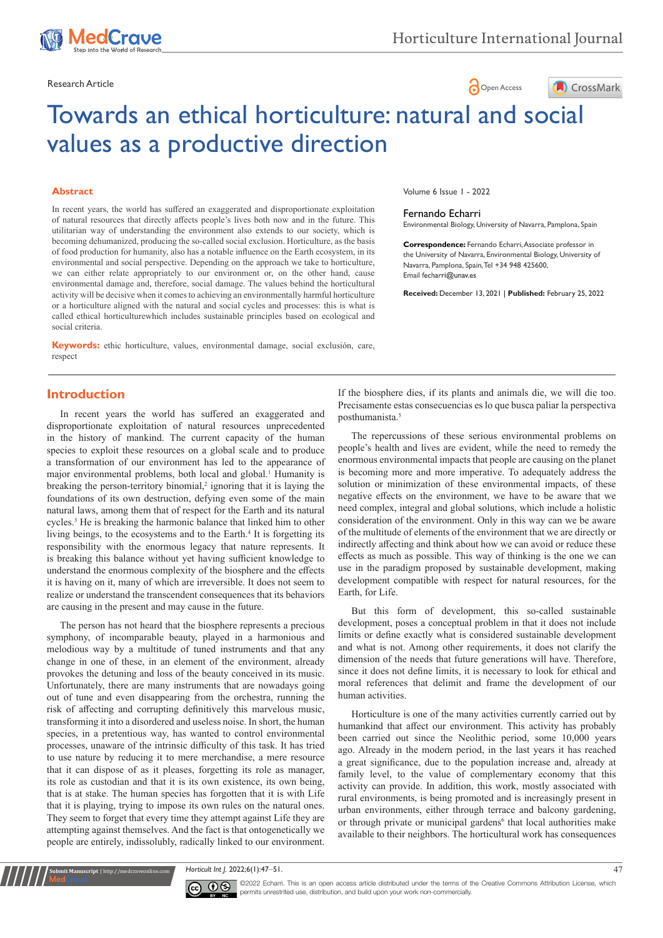

# Research Article **Contract Article** of the Contract of the Open Access **Contract Open Access**



# Towards an ethical horticulture: natural and social values as a productive direction

#### **Abstract**

In recent years, the world has suffered an exaggerated and disproportionate exploitation of natural resources that directly affects people's lives both now and in the future. This utilitarian way of understanding the environment also extends to our society, which is becoming dehumanized, producing the so-called social exclusion. Horticulture, as the basis of food production for humanity, also has a notable influence on the Earth ecosystem, in its environmental and social perspective. Depending on the approach we take to horticulture, we can either relate appropriately to our environment or, on the other hand, cause environmental damage and, therefore, social damage. The values behind the horticultural activity will be decisive when it comes to achieving an environmentally harmful horticulture or a horticulture aligned with the natural and social cycles and processes: this is what is called ethical horticulturewhich includes sustainable principles based on ecological and social criteria.

**Keywords:** ethic horticulture, values, environmental damage, social exclusión, care, respect

Volume 6 Issue 1 - 2022

#### Fernando Echarri

Environmental Biology, University of Navarra, Pamplona, Spain

**Correspondence:** Fernando Echarri, Associate professor in the University of Navarra, Environmental Biology, University of Navarra, Pamplona, Spain, Tel +34 948 425600, Email fecharri@unav.es

**Received:** December 13, 2021 | **Published:** February 25, 2022

# **Introduction**

In recent years the world has suffered an exaggerated and disproportionate exploitation of natural resources unprecedented in the history of mankind. The current capacity of the human species to exploit these resources on a global scale and to produce a transformation of our environment has led to the appearance of major environmental problems, both local and global.<sup>1</sup> Humanity is breaking the person-territory binomial, $2$  ignoring that it is laying the foundations of its own destruction, defying even some of the main natural laws, among them that of respect for the Earth and its natural cycles.<sup>3</sup> He is breaking the harmonic balance that linked him to other living beings, to the ecosystems and to the Earth.<sup>4</sup> It is forgetting its responsibility with the enormous legacy that nature represents. It is breaking this balance without yet having sufficient knowledge to understand the enormous complexity of the biosphere and the effects it is having on it, many of which are irreversible. It does not seem to realize or understand the transcendent consequences that its behaviors are causing in the present and may cause in the future.

The person has not heard that the biosphere represents a precious symphony, of incomparable beauty, played in a harmonious and melodious way by a multitude of tuned instruments and that any change in one of these, in an element of the environment, already provokes the detuning and loss of the beauty conceived in its music. Unfortunately, there are many instruments that are nowadays going out of tune and even disappearing from the orchestra, running the risk of affecting and corrupting definitively this marvelous music, transforming it into a disordered and useless noise. In short, the human species, in a pretentious way, has wanted to control environmental processes, unaware of the intrinsic difficulty of this task. It has tried to use nature by reducing it to mere merchandise, a mere resource that it can dispose of as it pleases, forgetting its role as manager, its role as custodian and that it is its own existence, its own being, that is at stake. The human species has forgotten that it is with Life that it is playing, trying to impose its own rules on the natural ones. They seem to forget that every time they attempt against Life they are attempting against themselves. And the fact is that ontogenetically we people are entirely, indissolubly, radically linked to our environment.

If the biosphere dies, if its plants and animals die, we will die too. Precisamente estas consecuencias es lo que busca paliar la perspectiva posthumanista.<sup>5</sup>

The repercussions of these serious environmental problems on people's health and lives are evident, while the need to remedy the enormous environmental impacts that people are causing on the planet is becoming more and more imperative. To adequately address the solution or minimization of these environmental impacts, of these negative effects on the environment, we have to be aware that we need complex, integral and global solutions, which include a holistic consideration of the environment. Only in this way can we be aware of the multitude of elements of the environment that we are directly or indirectly affecting and think about how we can avoid or reduce these effects as much as possible. This way of thinking is the one we can use in the paradigm proposed by sustainable development, making development compatible with respect for natural resources, for the Earth, for Life.

But this form of development, this so-called sustainable development, poses a conceptual problem in that it does not include limits or define exactly what is considered sustainable development and what is not. Among other requirements, it does not clarify the dimension of the needs that future generations will have. Therefore, since it does not define limits, it is necessary to look for ethical and moral references that delimit and frame the development of our human activities.

Horticulture is one of the many activities currently carried out by humankind that affect our environment. This activity has probably been carried out since the Neolithic period, some 10,000 years ago. Already in the modern period, in the last years it has reached a great significance, due to the population increase and, already at family level, to the value of complementary economy that this activity can provide. In addition, this work, mostly associated with rural environments, is being promoted and is increasingly present in urban environments, either through terrace and balcony gardening, or through private or municipal gardens<sup>6</sup> that local authorities make available to their neighbors. The horticultural work has consequences

*Horticult Int J.* 2022;6(1):47‒51. 47



**It Manuscript** | http://medcraveonline.c

 $\overline{\mathbf{c}}$   $\overline{\mathbf{c}}$   $\overline{\mathbf{c}}$   $\overline{\mathbf{c}}$   $\overline{\mathbf{c}}$   $\overline{\mathbf{c}}$  commits uncertained uses distribution and build use and build use of the terms of the Creative Commons Attribution License, which permits unrestrited use, distribution, and build upon your work non-commercially.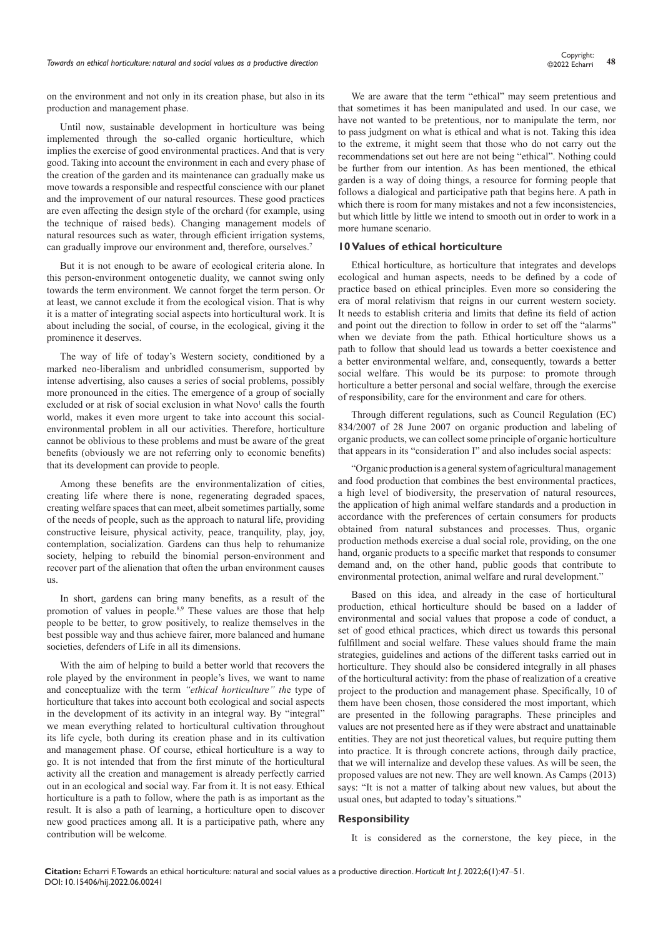*Towards an ethical horticulture: natural and social values as a productive direction* **<sup>48</sup>** Copyright:

on the environment and not only in its creation phase, but also in its production and management phase.

Until now, sustainable development in horticulture was being implemented through the so-called organic horticulture, which implies the exercise of good environmental practices. And that is very good. Taking into account the environment in each and every phase of the creation of the garden and its maintenance can gradually make us move towards a responsible and respectful conscience with our planet and the improvement of our natural resources. These good practices are even affecting the design style of the orchard (for example, using the technique of raised beds). Changing management models of natural resources such as water, through efficient irrigation systems, can gradually improve our environment and, therefore, ourselves.<sup>7</sup>

But it is not enough to be aware of ecological criteria alone. In this person-environment ontogenetic duality, we cannot swing only towards the term environment. We cannot forget the term person. Or at least, we cannot exclude it from the ecological vision. That is why it is a matter of integrating social aspects into horticultural work. It is about including the social, of course, in the ecological, giving it the prominence it deserves.

The way of life of today's Western society, conditioned by a marked neo-liberalism and unbridled consumerism, supported by intense advertising, also causes a series of social problems, possibly more pronounced in the cities. The emergence of a group of socially excluded or at risk of social exclusion in what Novo<sup>1</sup> calls the fourth world, makes it even more urgent to take into account this socialenvironmental problem in all our activities. Therefore, horticulture cannot be oblivious to these problems and must be aware of the great benefits (obviously we are not referring only to economic benefits) that its development can provide to people.

Among these benefits are the environmentalization of cities, creating life where there is none, regenerating degraded spaces, creating welfare spaces that can meet, albeit sometimes partially, some of the needs of people, such as the approach to natural life, providing constructive leisure, physical activity, peace, tranquility, play, joy, contemplation, socialization. Gardens can thus help to rehumanize society, helping to rebuild the binomial person-environment and recover part of the alienation that often the urban environment causes us.

In short, gardens can bring many benefits, as a result of the promotion of values in people.8,9 These values are those that help people to be better, to grow positively, to realize themselves in the best possible way and thus achieve fairer, more balanced and humane societies, defenders of Life in all its dimensions.

With the aim of helping to build a better world that recovers the role played by the environment in people's lives, we want to name and conceptualize with the term *"ethical horticulture" th*e type of horticulture that takes into account both ecological and social aspects in the development of its activity in an integral way. By "integral" we mean everything related to horticultural cultivation throughout its life cycle, both during its creation phase and in its cultivation and management phase. Of course, ethical horticulture is a way to go. It is not intended that from the first minute of the horticultural activity all the creation and management is already perfectly carried out in an ecological and social way. Far from it. It is not easy. Ethical horticulture is a path to follow, where the path is as important as the result. It is also a path of learning, a horticulture open to discover new good practices among all. It is a participative path, where any contribution will be welcome.

We are aware that the term "ethical" may seem pretentious and that sometimes it has been manipulated and used. In our case, we have not wanted to be pretentious, nor to manipulate the term, nor to pass judgment on what is ethical and what is not. Taking this idea to the extreme, it might seem that those who do not carry out the recommendations set out here are not being "ethical". Nothing could be further from our intention. As has been mentioned, the ethical garden is a way of doing things, a resource for forming people that follows a dialogical and participative path that begins here. A path in which there is room for many mistakes and not a few inconsistencies, but which little by little we intend to smooth out in order to work in a more humane scenario.

#### **10 Values of ethical horticulture**

Ethical horticulture, as horticulture that integrates and develops ecological and human aspects, needs to be defined by a code of practice based on ethical principles. Even more so considering the era of moral relativism that reigns in our current western society. It needs to establish criteria and limits that define its field of action and point out the direction to follow in order to set off the "alarms" when we deviate from the path. Ethical horticulture shows us a path to follow that should lead us towards a better coexistence and a better environmental welfare, and, consequently, towards a better social welfare. This would be its purpose: to promote through horticulture a better personal and social welfare, through the exercise of responsibility, care for the environment and care for others.

Through different regulations, such as Council Regulation (EC) 834/2007 of 28 June 2007 on organic production and labeling of organic products, we can collect some principle of organic horticulture that appears in its "consideration I" and also includes social aspects:

"Organic production is a general system of agricultural management and food production that combines the best environmental practices, a high level of biodiversity, the preservation of natural resources, the application of high animal welfare standards and a production in accordance with the preferences of certain consumers for products obtained from natural substances and processes. Thus, organic production methods exercise a dual social role, providing, on the one hand, organic products to a specific market that responds to consumer demand and, on the other hand, public goods that contribute to environmental protection, animal welfare and rural development."

Based on this idea, and already in the case of horticultural production, ethical horticulture should be based on a ladder of environmental and social values that propose a code of conduct, a set of good ethical practices, which direct us towards this personal fulfillment and social welfare. These values should frame the main strategies, guidelines and actions of the different tasks carried out in horticulture. They should also be considered integrally in all phases of the horticultural activity: from the phase of realization of a creative project to the production and management phase. Specifically, 10 of them have been chosen, those considered the most important, which are presented in the following paragraphs. These principles and values are not presented here as if they were abstract and unattainable entities. They are not just theoretical values, but require putting them into practice. It is through concrete actions, through daily practice, that we will internalize and develop these values. As will be seen, the proposed values are not new. They are well known. As Camps (2013) says: "It is not a matter of talking about new values, but about the usual ones, but adapted to today's situations."

### **Responsibility**

It is considered as the cornerstone, the key piece, in the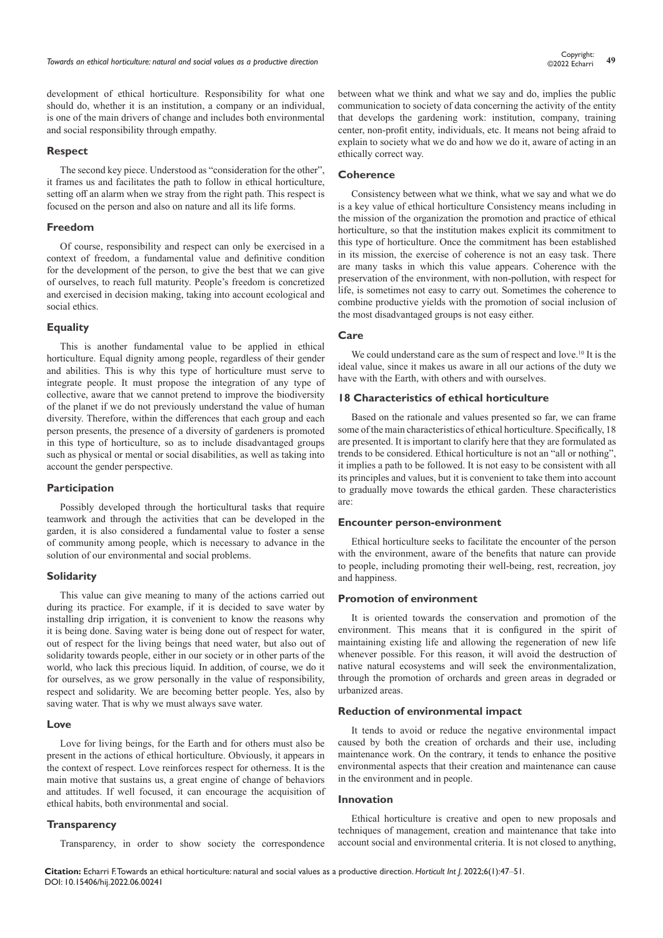development of ethical horticulture. Responsibility for what one should do, whether it is an institution, a company or an individual, is one of the main drivers of change and includes both environmental and social responsibility through empathy.

#### **Respect**

The second key piece. Understood as "consideration for the other", it frames us and facilitates the path to follow in ethical horticulture, setting off an alarm when we stray from the right path. This respect is focused on the person and also on nature and all its life forms.

#### **Freedom**

Of course, responsibility and respect can only be exercised in a context of freedom, a fundamental value and definitive condition for the development of the person, to give the best that we can give of ourselves, to reach full maturity. People's freedom is concretized and exercised in decision making, taking into account ecological and social ethics.

#### **Equality**

This is another fundamental value to be applied in ethical horticulture. Equal dignity among people, regardless of their gender and abilities. This is why this type of horticulture must serve to integrate people. It must propose the integration of any type of collective, aware that we cannot pretend to improve the biodiversity of the planet if we do not previously understand the value of human diversity. Therefore, within the differences that each group and each person presents, the presence of a diversity of gardeners is promoted in this type of horticulture, so as to include disadvantaged groups such as physical or mental or social disabilities, as well as taking into account the gender perspective.

#### **Participation**

Possibly developed through the horticultural tasks that require teamwork and through the activities that can be developed in the garden, it is also considered a fundamental value to foster a sense of community among people, which is necessary to advance in the solution of our environmental and social problems.

#### **Solidarity**

This value can give meaning to many of the actions carried out during its practice. For example, if it is decided to save water by installing drip irrigation, it is convenient to know the reasons why it is being done. Saving water is being done out of respect for water, out of respect for the living beings that need water, but also out of solidarity towards people, either in our society or in other parts of the world, who lack this precious liquid. In addition, of course, we do it for ourselves, as we grow personally in the value of responsibility, respect and solidarity. We are becoming better people. Yes, also by saving water. That is why we must always save water.

#### **Love**

Love for living beings, for the Earth and for others must also be present in the actions of ethical horticulture. Obviously, it appears in the context of respect. Love reinforces respect for otherness. It is the main motive that sustains us, a great engine of change of behaviors and attitudes. If well focused, it can encourage the acquisition of ethical habits, both environmental and social.

#### **Transparency**

Transparency, in order to show society the correspondence

between what we think and what we say and do, implies the public communication to society of data concerning the activity of the entity that develops the gardening work: institution, company, training center, non-profit entity, individuals, etc. It means not being afraid to explain to society what we do and how we do it, aware of acting in an ethically correct way.

#### **Coherence**

Consistency between what we think, what we say and what we do is a key value of ethical horticulture Consistency means including in the mission of the organization the promotion and practice of ethical horticulture, so that the institution makes explicit its commitment to this type of horticulture. Once the commitment has been established in its mission, the exercise of coherence is not an easy task. There are many tasks in which this value appears. Coherence with the preservation of the environment, with non-pollution, with respect for life, is sometimes not easy to carry out. Sometimes the coherence to combine productive yields with the promotion of social inclusion of the most disadvantaged groups is not easy either.

### **Care**

We could understand care as the sum of respect and love.<sup>10</sup> It is the ideal value, since it makes us aware in all our actions of the duty we have with the Earth, with others and with ourselves.

#### **18 Characteristics of ethical horticulture**

Based on the rationale and values presented so far, we can frame some of the main characteristics of ethical horticulture. Specifically, 18 are presented. It is important to clarify here that they are formulated as trends to be considered. Ethical horticulture is not an "all or nothing", it implies a path to be followed. It is not easy to be consistent with all its principles and values, but it is convenient to take them into account to gradually move towards the ethical garden. These characteristics are:

#### **Encounter person-environment**

Ethical horticulture seeks to facilitate the encounter of the person with the environment, aware of the benefits that nature can provide to people, including promoting their well-being, rest, recreation, joy and happiness.

#### **Promotion of environment**

It is oriented towards the conservation and promotion of the environment. This means that it is configured in the spirit of maintaining existing life and allowing the regeneration of new life whenever possible. For this reason, it will avoid the destruction of native natural ecosystems and will seek the environmentalization, through the promotion of orchards and green areas in degraded or urbanized areas.

#### **Reduction of environmental impact**

It tends to avoid or reduce the negative environmental impact caused by both the creation of orchards and their use, including maintenance work. On the contrary, it tends to enhance the positive environmental aspects that their creation and maintenance can cause in the environment and in people.

#### **Innovation**

Ethical horticulture is creative and open to new proposals and techniques of management, creation and maintenance that take into account social and environmental criteria. It is not closed to anything,

**Citation:** Echarri F. Towards an ethical horticulture: natural and social values as a productive direction. *Horticult Int J.* 2022;6(1):47‒51. DOI: [10.15406/hij.2022.06.00241](https://doi.org/10.15406/hij.2022.06.00241)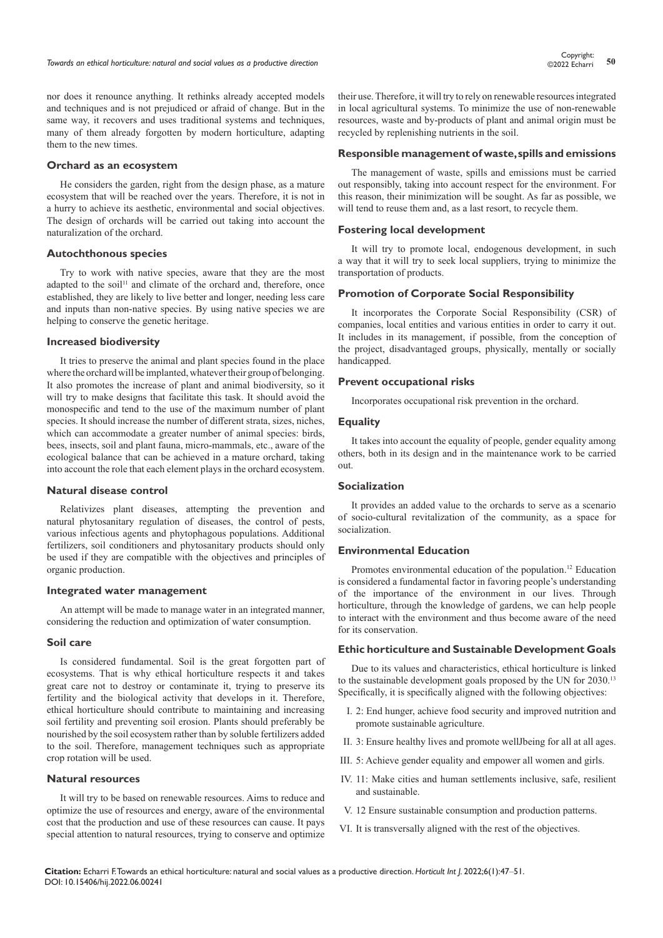nor does it renounce anything. It rethinks already accepted models and techniques and is not prejudiced or afraid of change. But in the same way, it recovers and uses traditional systems and techniques, many of them already forgotten by modern horticulture, adapting them to the new times.

#### **Orchard as an ecosystem**

He considers the garden, right from the design phase, as a mature ecosystem that will be reached over the years. Therefore, it is not in a hurry to achieve its aesthetic, environmental and social objectives. The design of orchards will be carried out taking into account the naturalization of the orchard.

#### **Autochthonous species**

Try to work with native species, aware that they are the most adapted to the soil<sup>11</sup> and climate of the orchard and, therefore, once established, they are likely to live better and longer, needing less care and inputs than non-native species. By using native species we are helping to conserve the genetic heritage.

#### **Increased biodiversity**

It tries to preserve the animal and plant species found in the place where the orchard will be implanted, whatever their group of belonging. It also promotes the increase of plant and animal biodiversity, so it will try to make designs that facilitate this task. It should avoid the monospecific and tend to the use of the maximum number of plant species. It should increase the number of different strata, sizes, niches, which can accommodate a greater number of animal species: birds, bees, insects, soil and plant fauna, micro-mammals, etc., aware of the ecological balance that can be achieved in a mature orchard, taking into account the role that each element plays in the orchard ecosystem.

#### **Natural disease control**

Relativizes plant diseases, attempting the prevention and natural phytosanitary regulation of diseases, the control of pests, various infectious agents and phytophagous populations. Additional fertilizers, soil conditioners and phytosanitary products should only be used if they are compatible with the objectives and principles of organic production.

#### **Integrated water management**

An attempt will be made to manage water in an integrated manner, considering the reduction and optimization of water consumption.

#### **Soil care**

Is considered fundamental. Soil is the great forgotten part of ecosystems. That is why ethical horticulture respects it and takes great care not to destroy or contaminate it, trying to preserve its fertility and the biological activity that develops in it. Therefore, ethical horticulture should contribute to maintaining and increasing soil fertility and preventing soil erosion. Plants should preferably be nourished by the soil ecosystem rather than by soluble fertilizers added to the soil. Therefore, management techniques such as appropriate crop rotation will be used.

#### **Natural resources**

It will try to be based on renewable resources. Aims to reduce and optimize the use of resources and energy, aware of the environmental cost that the production and use of these resources can cause. It pays special attention to natural resources, trying to conserve and optimize

their use. Therefore, it will try to rely on renewable resources integrated in local agricultural systems. To minimize the use of non-renewable resources, waste and by-products of plant and animal origin must be recycled by replenishing nutrients in the soil.

#### **Responsible management of waste, spills and emissions**

The management of waste, spills and emissions must be carried out responsibly, taking into account respect for the environment. For this reason, their minimization will be sought. As far as possible, we will tend to reuse them and, as a last resort, to recycle them.

#### **Fostering local development**

It will try to promote local, endogenous development, in such a way that it will try to seek local suppliers, trying to minimize the transportation of products.

#### **Promotion of Corporate Social Responsibility**

It incorporates the Corporate Social Responsibility (CSR) of companies, local entities and various entities in order to carry it out. It includes in its management, if possible, from the conception of the project, disadvantaged groups, physically, mentally or socially handicapped.

#### **Prevent occupational risks**

Incorporates occupational risk prevention in the orchard.

#### **Equality**

It takes into account the equality of people, gender equality among others, both in its design and in the maintenance work to be carried out.

#### **Socialization**

It provides an added value to the orchards to serve as a scenario of socio-cultural revitalization of the community, as a space for socialization.

### **Environmental Education**

Promotes environmental education of the population.<sup>12</sup> Education is considered a fundamental factor in favoring people's understanding of the importance of the environment in our lives. Through horticulture, through the knowledge of gardens, we can help people to interact with the environment and thus become aware of the need for its conservation.

#### **Ethic horticulture and Sustainable Development Goals**

Due to its values and characteristics, ethical horticulture is linked to the sustainable development goals proposed by the UN for 2030.<sup>13</sup> Specifically, it is specifically aligned with the following objectives:

- I. 2: End hunger, achieve food security and improved nutrition and promote sustainable agriculture.
- II. 3: Ensure healthy lives and promote wellJbeing for all at all ages.
- III. 5: Achieve gender equality and empower all women and girls.
- IV. 11: Make cities and human settlements inclusive, safe, resilient and sustainable.
- V. 12 Ensure sustainable consumption and production patterns.
- VI. It is transversally aligned with the rest of the objectives.